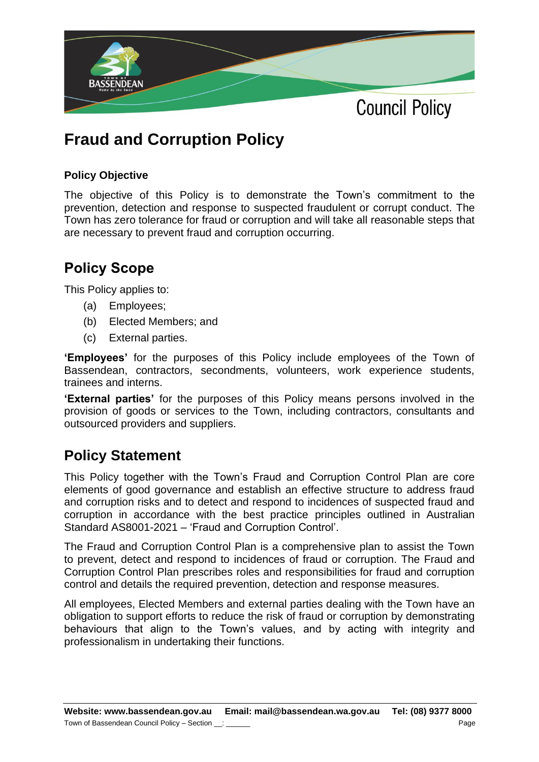

## **Fraud and Corruption Policy**

## **Policy Objective**

The objective of this Policy is to demonstrate the Town's commitment to the prevention, detection and response to suspected fraudulent or corrupt conduct. The Town has zero tolerance for fraud or corruption and will take all reasonable steps that are necessary to prevent fraud and corruption occurring.

## **Policy Scope**

This Policy applies to:

- (a) Employees;
- (b) Elected Members; and
- (c) External parties.

**'Employees'** for the purposes of this Policy include employees of the Town of Bassendean, contractors, secondments, volunteers, work experience students, trainees and interns.

**'External parties'** for the purposes of this Policy means persons involved in the provision of goods or services to the Town, including contractors, consultants and outsourced providers and suppliers.

## **Policy Statement**

This Policy together with the Town's Fraud and Corruption Control Plan are core elements of good governance and establish an effective structure to address fraud and corruption risks and to detect and respond to incidences of suspected fraud and corruption in accordance with the best practice principles outlined in Australian Standard AS8001-2021 – 'Fraud and Corruption Control'.

The Fraud and Corruption Control Plan is a comprehensive plan to assist the Town to prevent, detect and respond to incidences of fraud or corruption. The Fraud and Corruption Control Plan prescribes roles and responsibilities for fraud and corruption control and details the required prevention, detection and response measures.

All employees, Elected Members and external parties dealing with the Town have an obligation to support efforts to reduce the risk of fraud or corruption by demonstrating behaviours that align to the Town's values, and by acting with integrity and professionalism in undertaking their functions.